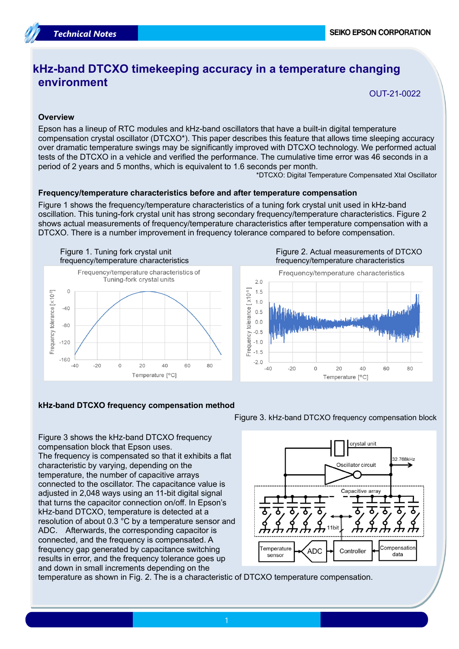# **kHz-band DTCXO timekeeping accuracy in a temperature changing environment**

OUT-21-0022

## **Overview**

Epson has a lineup of RTC modules and kHz-band oscillators that have a built-in digital temperature compensation crystal oscillator (DTCXO\*). This paper describes this feature that allows time sleeping accuracy over dramatic temperature swings may be significantly improved with DTCXO technology. We performed actual tests of the DTCXO in a vehicle and verified the performance. The cumulative time error was 46 seconds in a period of 2 years and 5 months, which is equivalent to 1.6 seconds per month.

\*DTCXO: Digital Temperature Compensated Xtal Oscillator

### **Frequency/temperature characteristics before and after temperature compensation**

Figure 1 shows the frequency/temperature characteristics of a tuning fork crystal unit used in kHz-band oscillation. This tuning-fork crystal unit has strong secondary frequency/temperature characteristics. Figure 2 shows actual measurements of frequency/temperature characteristics after temperature compensation with a DTCXO. There is a number improvement in frequency tolerance compared to before compensation.



Figure 2. Actual measurements of DTCXO frequency/temperature characteristics



### **kHz-band DTCXO frequency compensation method**

Figure 3 shows the kHz-band DTCXO frequency compensation block that Epson uses. The frequency is compensated so that it exhibits a flat characteristic by varying, depending on the temperature, the number of capacitive arrays connected to the oscillator. The capacitance value is adjusted in 2,048 ways using an 11-bit digital signal that turns the capacitor connection on/off. In Epson's kHz-band DTCXO, temperature is detected at a resolution of about 0.3 °C by a temperature sensor and ADC. Afterwards, the corresponding capacitor is connected, and the frequency is compensated. A frequency gap generated by capacitance switching results in error, and the frequency tolerance goes up and down in small increments depending on the

Figure 3. kHz-band DTCXO frequency compensation block



temperature as shown in Fig. 2. The is a characteristic of DTCXO temperature compensation.